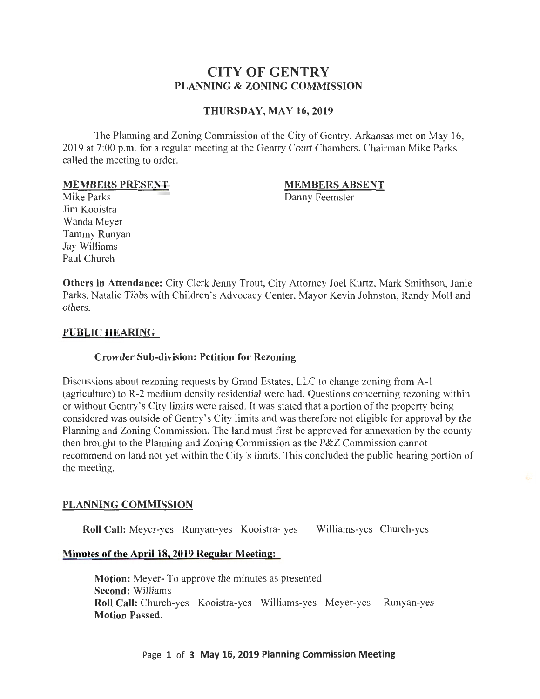# **CITY OF GENTRY PLANNING & ZONING COMMISSION**

# **THURSDAY, MAY 16, 2019**

The Planning and Zoning Commission of the City of Gentry, Arkansas met on May 16, 2019 at 7:00 p.m. for a regular meeting at the Gentry Court Chambers. Chairman Mike Parks called the meeting to order.

#### **MEMBERS PRESENT**

#### **MEMBERS ABSENT**

Danny Feemster

Mike Parks Jim Kooistra Wanda Meyer Tammy Runyan Jay Williams Paul Church

**Others in Attendance:** City Clerk Jenny Trout, City Attorney Joel Kurtz, Mark Smithson, Janie Parks, Natalie Tibbs with Children's Advocacy Center, Mayor Kevin Johnston, Randy Moll and others.

## **PUBLIC HEARING**

## **Crowder Sub-division: Petition for Rezoning**

Discussions about rezoning requests by Grand Estates, LLC to change zoning from A-1 (agriculture) to R-2 medium density residential were had. Questions concerning rezoning within or without Gentry's City limits were raised. It was stated that a portion of the property being considered was outside of Gentry's City limits and was therefore not eligible for approval by the Planning and Zoning Commission. The land must first be approved for annexation by the county then brought to the Planning and Zoning Commission as the P&Z Commission cannot recommend on land not yet within the City's limits. This concluded the public hearing portion of the meeting.

## **PLANNING COMMISSION**

**Roll Call:** Meyer-yes Runyan-yes Kooistra- yes Williams-yes Church-yes

## **Minutes of the April18, 2019 Regular Meeting:**

**Motion:** Meyer- To approve the minutes as presented **Second:** Williams **Roll Call:** Church-yes Kooistra-yes Williams-yes Meyer-yes Runyan-yes **Motion Passed.**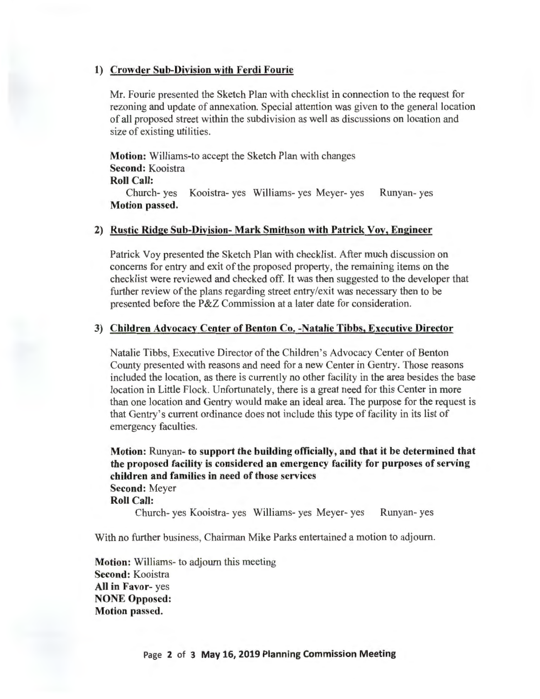#### **1) Crowder Sub-Division with Ferdi Fourie**

Mr. Fourie presented the Sketch Plan with checklist in connection to the request for rezoning and update of annexation. Special attention was given to the general location of all proposed street within the subdivision as well as discussions on location and size of existing utilities.

**Motion:** Williams-to accept the Sketch Plan with changes **Second:** Kooistra

# **Roll Call:**

Church- yes Kooistra- yes Williams- yes Meyer- yes Runyan- yes **Motion passed.** 

# **2) Rustic Ridge Sub-Division- Mark Smithson with Patrick Voy, Engineer**

Patrick Voy presented the Sketch Plan with checklist. After much discussion on concerns for entry and exit of the proposed property, the remaining items on the checklist were reviewed and checked off. It was then suggested to the developer that further review of the plans regarding street entry/exit was necessary then to be presented before the P&Z Commission at a later date for consideration.

#### **3) Children Advocacy Center of Benton Co. -Natalie Tibbs, Executive Director**

Natalie Tibbs, Executive Director of the Children's Advocacy Center of Benton County presented with reasons and need for a new Center in Gentry. Those reasons included the location, as there is currently no other facility in the area besides the base location in Little Flock. Unfortunately, there is a great need for this Center in more than one location and Gentry would make an ideal area. The purpose for the request is that Gentry's current ordinance does not include this type of facility in its list of emergency faculties.

**Motion:** Runyan- **to support the building officially, and that it be determined that the proposed facility is considered an emergency facility for purposes of serving children and families in need of those services Second:** Meyer **Roll Call:** 

Church- yes Kooistra- yes Williams- yes Meyer- yes Runyan- yes

With no further business, Chairman Mike Parks entertained a motion to adjourn.

**Motion:** Williams- to adjourn this meeting **Second:** Kooistra **All in Favor-** yes **NONE Opposed: Motion passed.**